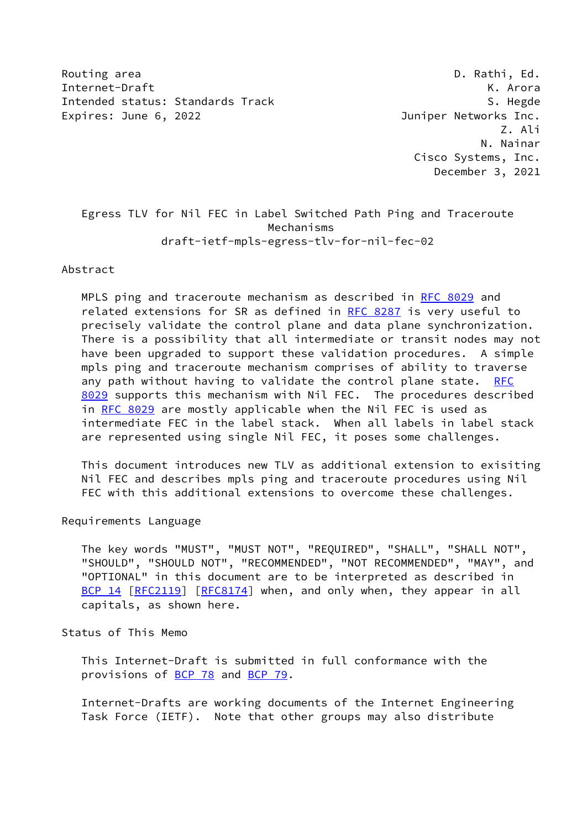Routing area **D. Rathi, Ed.** 2008, 2008, 2008, 2008, 2008, 2008, 2008, 2008, 2008, 2008, 2008, 2008, 2008, 2008, 2008, 2008, 2008, 2008, 2008, 2008, 2008, 2008, 2008, 2008, 2008, 2008, 2008, 2008, 2008, 2008, 2008, 2008, 2 Internet-Draft K. Arora Intended status: Standards Track S. Hegde S. Hegde Expires: June 6, 2022 **Souther State Contract Contract Contract Contract Contract Contract Contract Contract Contract Contract Contract Contract Contract Contract Contract Contract Contract Contract Contract Contract Contr** 

 Z. Ali N. Nainar Cisco Systems, Inc. December 3, 2021

 Egress TLV for Nil FEC in Label Switched Path Ping and Traceroute Mechanisms draft-ietf-mpls-egress-tlv-for-nil-fec-02

Abstract

 MPLS ping and traceroute mechanism as described in [RFC 8029](https://datatracker.ietf.org/doc/pdf/rfc8029) and related extensions for SR as defined in [RFC 8287](https://datatracker.ietf.org/doc/pdf/rfc8287) is very useful to precisely validate the control plane and data plane synchronization. There is a possibility that all intermediate or transit nodes may not have been upgraded to support these validation procedures. A simple mpls ping and traceroute mechanism comprises of ability to traverse any path without having to validate the control plane state. [RFC](https://datatracker.ietf.org/doc/pdf/rfc8029) [8029](https://datatracker.ietf.org/doc/pdf/rfc8029) supports this mechanism with Nil FEC. The procedures described in [RFC 8029](https://datatracker.ietf.org/doc/pdf/rfc8029) are mostly applicable when the Nil FEC is used as intermediate FEC in the label stack. When all labels in label stack are represented using single Nil FEC, it poses some challenges.

 This document introduces new TLV as additional extension to exisiting Nil FEC and describes mpls ping and traceroute procedures using Nil FEC with this additional extensions to overcome these challenges.

Requirements Language

 The key words "MUST", "MUST NOT", "REQUIRED", "SHALL", "SHALL NOT", "SHOULD", "SHOULD NOT", "RECOMMENDED", "NOT RECOMMENDED", "MAY", and "OPTIONAL" in this document are to be interpreted as described in [BCP 14](https://datatracker.ietf.org/doc/pdf/bcp14) [\[RFC2119](https://datatracker.ietf.org/doc/pdf/rfc2119)] [\[RFC8174](https://datatracker.ietf.org/doc/pdf/rfc8174)] when, and only when, they appear in all capitals, as shown here.

Status of This Memo

 This Internet-Draft is submitted in full conformance with the provisions of [BCP 78](https://datatracker.ietf.org/doc/pdf/bcp78) and [BCP 79](https://datatracker.ietf.org/doc/pdf/bcp79).

 Internet-Drafts are working documents of the Internet Engineering Task Force (IETF). Note that other groups may also distribute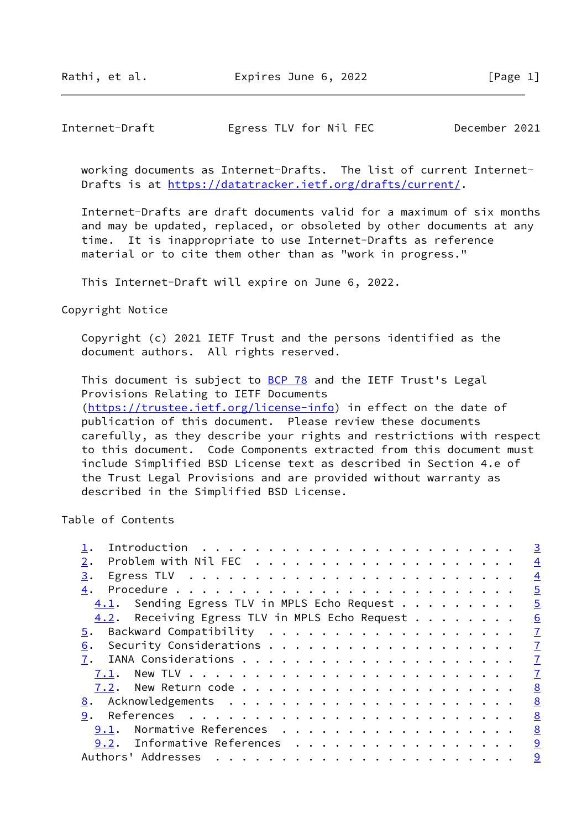# Internet-Draft Egress TLV for Nil FEC December 2021

 working documents as Internet-Drafts. The list of current Internet- Drafts is at<https://datatracker.ietf.org/drafts/current/>.

 Internet-Drafts are draft documents valid for a maximum of six months and may be updated, replaced, or obsoleted by other documents at any time. It is inappropriate to use Internet-Drafts as reference material or to cite them other than as "work in progress."

This Internet-Draft will expire on June 6, 2022.

Copyright Notice

 Copyright (c) 2021 IETF Trust and the persons identified as the document authors. All rights reserved.

This document is subject to **[BCP 78](https://datatracker.ietf.org/doc/pdf/bcp78)** and the IETF Trust's Legal Provisions Relating to IETF Documents [\(https://trustee.ietf.org/license-info](https://trustee.ietf.org/license-info)) in effect on the date of publication of this document. Please review these documents carefully, as they describe your rights and restrictions with respect to this document. Code Components extracted from this document must

 include Simplified BSD License text as described in Section 4.e of the Trust Legal Provisions and are provided without warranty as described in the Simplified BSD License.

Table of Contents

|                                                | $\overline{3}$ |
|------------------------------------------------|----------------|
| 2.                                             | $\overline{4}$ |
| 3.                                             | $\overline{4}$ |
| 4.                                             | $\overline{5}$ |
| 4.1. Sending Egress TLV in MPLS Echo Request   | $\overline{5}$ |
| 4.2. Receiving Egress TLV in MPLS Echo Request | 6              |
| 5.                                             | $\mathbf I$    |
| 6.                                             | $\mathbf{Z}$   |
|                                                | $\mathbf{I}$   |
| 7.1.                                           | $\mathbf I$    |
|                                                | 8              |
|                                                | 8              |
| 9.                                             | 8              |
| Normative References<br>9.1.                   | 8              |
| Informative References<br>9.2.                 | 9              |
| Authors' Addresses                             | 9              |
|                                                |                |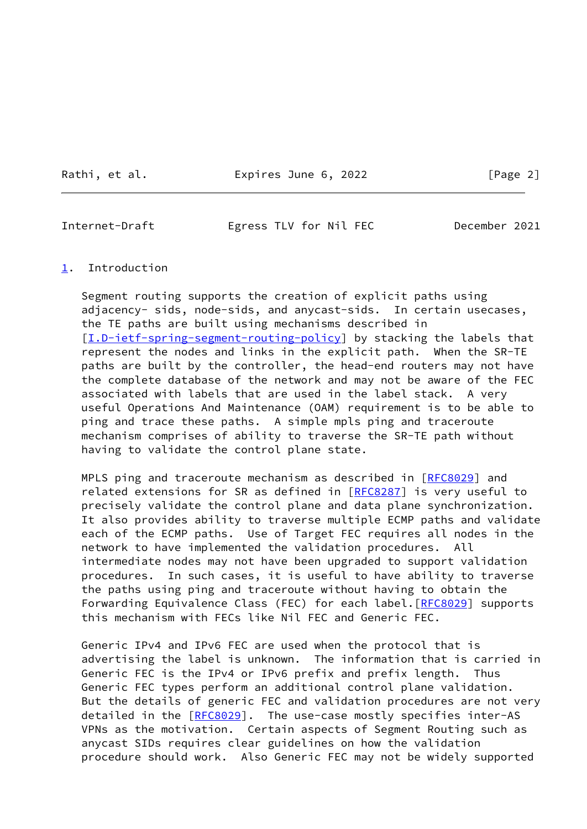Rathi, et al. **Expires June 6, 2022** [Page 2]

<span id="page-2-1"></span>Internet-Draft Egress TLV for Nil FEC December 2021

### <span id="page-2-0"></span>[1](#page-2-0). Introduction

 Segment routing supports the creation of explicit paths using adjacency- sids, node-sids, and anycast-sids. In certain usecases, the TE paths are built using mechanisms described in [\[I.D-ietf-spring-segment-routing-policy](#page-8-4)] by stacking the labels that represent the nodes and links in the explicit path. When the SR-TE paths are built by the controller, the head-end routers may not have the complete database of the network and may not be aware of the FEC associated with labels that are used in the label stack. A very useful Operations And Maintenance (OAM) requirement is to be able to ping and trace these paths. A simple mpls ping and traceroute mechanism comprises of ability to traverse the SR-TE path without having to validate the control plane state.

MPLS ping and traceroute mechanism as described in [[RFC8029\]](https://datatracker.ietf.org/doc/pdf/rfc8029) and related extensions for SR as defined in [\[RFC8287](https://datatracker.ietf.org/doc/pdf/rfc8287)] is very useful to precisely validate the control plane and data plane synchronization. It also provides ability to traverse multiple ECMP paths and validate each of the ECMP paths. Use of Target FEC requires all nodes in the network to have implemented the validation procedures. All intermediate nodes may not have been upgraded to support validation procedures. In such cases, it is useful to have ability to traverse the paths using ping and traceroute without having to obtain the Forwarding Equivalence Class (FEC) for each label. [[RFC8029](https://datatracker.ietf.org/doc/pdf/rfc8029)] supports this mechanism with FECs like Nil FEC and Generic FEC.

 Generic IPv4 and IPv6 FEC are used when the protocol that is advertising the label is unknown. The information that is carried in Generic FEC is the IPv4 or IPv6 prefix and prefix length. Thus Generic FEC types perform an additional control plane validation. But the details of generic FEC and validation procedures are not very detailed in the [\[RFC8029](https://datatracker.ietf.org/doc/pdf/rfc8029)]. The use-case mostly specifies inter-AS VPNs as the motivation. Certain aspects of Segment Routing such as anycast SIDs requires clear guidelines on how the validation procedure should work. Also Generic FEC may not be widely supported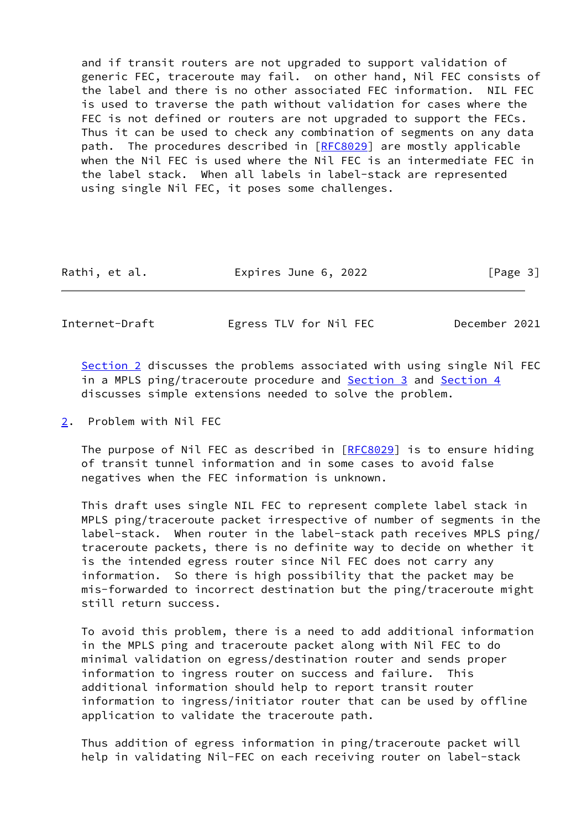and if transit routers are not upgraded to support validation of generic FEC, traceroute may fail. on other hand, Nil FEC consists of the label and there is no other associated FEC information. NIL FEC is used to traverse the path without validation for cases where the FEC is not defined or routers are not upgraded to support the FECs. Thus it can be used to check any combination of segments on any data path. The procedures described in [[RFC8029\]](https://datatracker.ietf.org/doc/pdf/rfc8029) are mostly applicable when the Nil FEC is used where the Nil FEC is an intermediate FEC in the label stack. When all labels in label-stack are represented using single Nil FEC, it poses some challenges.

| Rathi, et al. | Expires June 6, 2022 | [Page 3] |
|---------------|----------------------|----------|
|---------------|----------------------|----------|

<span id="page-3-1"></span>Internet-Draft Egress TLV for Nil FEC December 2021

[Section 2](#page-3-0) discusses the problems associated with using single Nil FEC in a MPLS ping/traceroute procedure and [Section 3](#page-4-0) and [Section 4](#page-4-1) discusses simple extensions needed to solve the problem.

<span id="page-3-0"></span>[2](#page-3-0). Problem with Nil FEC

 The purpose of Nil FEC as described in [\[RFC8029](https://datatracker.ietf.org/doc/pdf/rfc8029)] is to ensure hiding of transit tunnel information and in some cases to avoid false negatives when the FEC information is unknown.

 This draft uses single NIL FEC to represent complete label stack in MPLS ping/traceroute packet irrespective of number of segments in the label-stack. When router in the label-stack path receives MPLS ping/ traceroute packets, there is no definite way to decide on whether it is the intended egress router since Nil FEC does not carry any information. So there is high possibility that the packet may be mis-forwarded to incorrect destination but the ping/traceroute might still return success.

 To avoid this problem, there is a need to add additional information in the MPLS ping and traceroute packet along with Nil FEC to do minimal validation on egress/destination router and sends proper information to ingress router on success and failure. This additional information should help to report transit router information to ingress/initiator router that can be used by offline application to validate the traceroute path.

 Thus addition of egress information in ping/traceroute packet will help in validating Nil-FEC on each receiving router on label-stack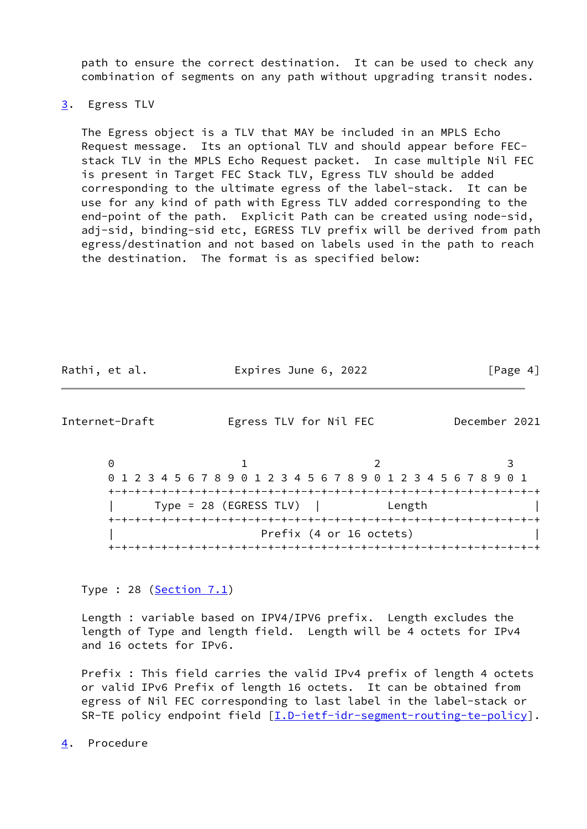path to ensure the correct destination. It can be used to check any combination of segments on any path without upgrading transit nodes.

## <span id="page-4-0"></span>[3](#page-4-0). Egress TLV

 The Egress object is a TLV that MAY be included in an MPLS Echo Request message. Its an optional TLV and should appear before FEC stack TLV in the MPLS Echo Request packet. In case multiple Nil FEC is present in Target FEC Stack TLV, Egress TLV should be added corresponding to the ultimate egress of the label-stack. It can be use for any kind of path with Egress TLV added corresponding to the end-point of the path. Explicit Path can be created using node-sid, adj-sid, binding-sid etc, EGRESS TLV prefix will be derived from path egress/destination and not based on labels used in the path to reach the destination. The format is as specified below:

| Rathi, et al. | Expires June 6, 2022 | [Page 4] |
|---------------|----------------------|----------|
|---------------|----------------------|----------|

<span id="page-4-2"></span>Internet-Draft Egress TLV for Nil FEC December 2021

0 1 2 3 0 1 2 3 4 5 6 7 8 9 0 1 2 3 4 5 6 7 8 9 0 1 2 3 4 5 6 7 8 9 0 1 +-+-+-+-+-+-+-+-+-+-+-+-+-+-+-+-+-+-+-+-+-+-+-+-+-+-+-+-+-+-+-+-+ | Type = 28 (EGRESS TLV) | Length | +-+-+-+-+-+-+-+-+-+-+-+-+-+-+-+-+-+-+-+-+-+-+-+-+-+-+-+-+-+-+-+-+ Prefix (4 or 16 octets) +-+-+-+-+-+-+-+-+-+-+-+-+-+-+-+-+-+-+-+-+-+-+-+-+-+-+-+-+-+-+-+-+

Type : 28 ([Section 7.1](#page-7-3))

 Length : variable based on IPV4/IPV6 prefix. Length excludes the length of Type and length field. Length will be 4 octets for IPv4 and 16 octets for IPv6.

 Prefix : This field carries the valid IPv4 prefix of length 4 octets or valid IPv6 Prefix of length 16 octets. It can be obtained from egress of Nil FEC corresponding to last label in the label-stack or SR-TE policy endpoint field [\[I.D-ietf-idr-segment-routing-te-policy](#page-5-2)].

<span id="page-4-1"></span>[4](#page-4-1). Procedure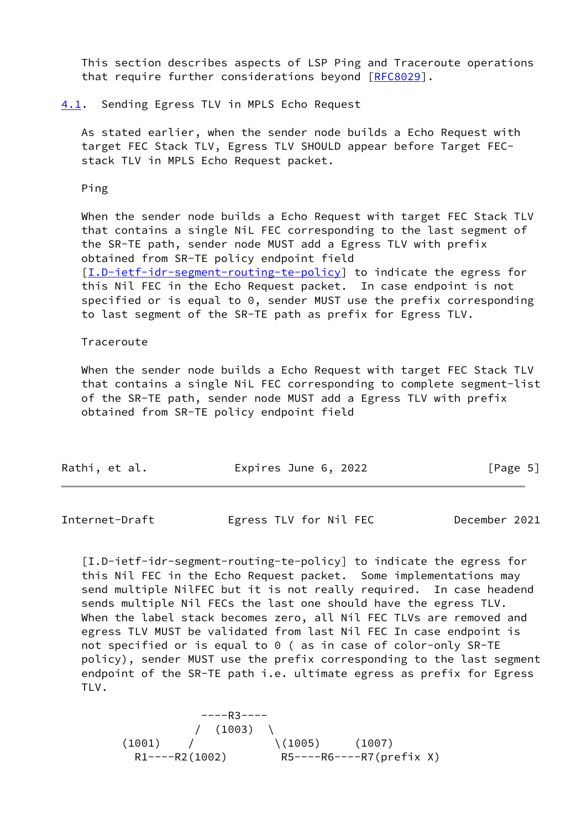This section describes aspects of LSP Ping and Traceroute operations that require further considerations beyond [[RFC8029\]](https://datatracker.ietf.org/doc/pdf/rfc8029).

#### <span id="page-5-0"></span>[4.1](#page-5-0). Sending Egress TLV in MPLS Echo Request

 As stated earlier, when the sender node builds a Echo Request with target FEC Stack TLV, Egress TLV SHOULD appear before Target FEC stack TLV in MPLS Echo Request packet.

Ping

 When the sender node builds a Echo Request with target FEC Stack TLV that contains a single NiL FEC corresponding to the last segment of the SR-TE path, sender node MUST add a Egress TLV with prefix obtained from SR-TE policy endpoint field [\[I.D-ietf-idr-segment-routing-te-policy](#page-5-2)] to indicate the egress for this Nil FEC in the Echo Request packet. In case endpoint is not specified or is equal to 0, sender MUST use the prefix corresponding to last segment of the SR-TE path as prefix for Egress TLV.

#### Traceroute

 When the sender node builds a Echo Request with target FEC Stack TLV that contains a single NiL FEC corresponding to complete segment-list of the SR-TE path, sender node MUST add a Egress TLV with prefix obtained from SR-TE policy endpoint field

| Rathi, et al. | Expires June 6, 2022 | [Page 5] |
|---------------|----------------------|----------|
|               |                      |          |

<span id="page-5-1"></span>Internet-Draft Egress TLV for Nil FEC December 2021

<span id="page-5-2"></span> [I.D-ietf-idr-segment-routing-te-policy] to indicate the egress for this Nil FEC in the Echo Request packet. Some implementations may send multiple NilFEC but it is not really required. In case headend sends multiple Nil FECs the last one should have the egress TLV. When the label stack becomes zero, all Nil FEC TLVs are removed and egress TLV MUST be validated from last Nil FEC In case endpoint is not specified or is equal to 0 ( as in case of color-only SR-TE policy), sender MUST use the prefix corresponding to the last segment endpoint of the SR-TE path i.e. ultimate egress as prefix for Egress TLV.

 ----R3----  $/ (1003)$  $(1001)$  /  $(1005)$   $(1007)$ R1----R2(1002) R5----R6----R7(prefix X)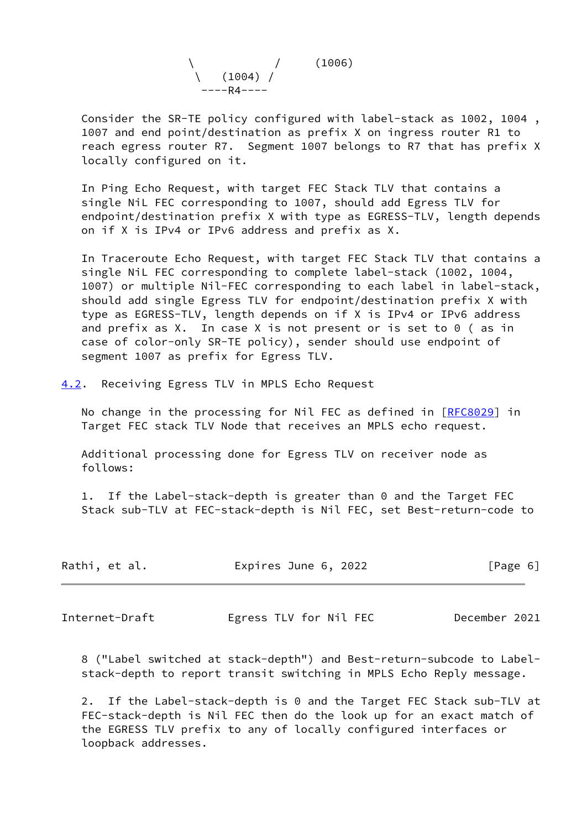

 Consider the SR-TE policy configured with label-stack as 1002, 1004 , 1007 and end point/destination as prefix X on ingress router R1 to reach egress router R7. Segment 1007 belongs to R7 that has prefix X locally configured on it.

 In Ping Echo Request, with target FEC Stack TLV that contains a single NiL FEC corresponding to 1007, should add Egress TLV for endpoint/destination prefix X with type as EGRESS-TLV, length depends on if X is IPv4 or IPv6 address and prefix as X.

 In Traceroute Echo Request, with target FEC Stack TLV that contains a single NiL FEC corresponding to complete label-stack (1002, 1004, 1007) or multiple Nil-FEC corresponding to each label in label-stack, should add single Egress TLV for endpoint/destination prefix X with type as EGRESS-TLV, length depends on if X is IPv4 or IPv6 address and prefix as X. In case X is not present or is set to 0 ( as in case of color-only SR-TE policy), sender should use endpoint of segment 1007 as prefix for Egress TLV.

<span id="page-6-0"></span>[4.2](#page-6-0). Receiving Egress TLV in MPLS Echo Request

No change in the processing for Nil FEC as defined in [[RFC8029](https://datatracker.ietf.org/doc/pdf/rfc8029)] in Target FEC stack TLV Node that receives an MPLS echo request.

 Additional processing done for Egress TLV on receiver node as follows:

 1. If the Label-stack-depth is greater than 0 and the Target FEC Stack sub-TLV at FEC-stack-depth is Nil FEC, set Best-return-code to

| Rathi, et al.<br>Expires June 6, 2022<br>[Page 6] |  |
|---------------------------------------------------|--|
|---------------------------------------------------|--|

<span id="page-6-1"></span>Internet-Draft Egress TLV for Nil FEC December 2021

 8 ("Label switched at stack-depth") and Best-return-subcode to Label stack-depth to report transit switching in MPLS Echo Reply message.

 2. If the Label-stack-depth is 0 and the Target FEC Stack sub-TLV at FEC-stack-depth is Nil FEC then do the look up for an exact match of the EGRESS TLV prefix to any of locally configured interfaces or loopback addresses.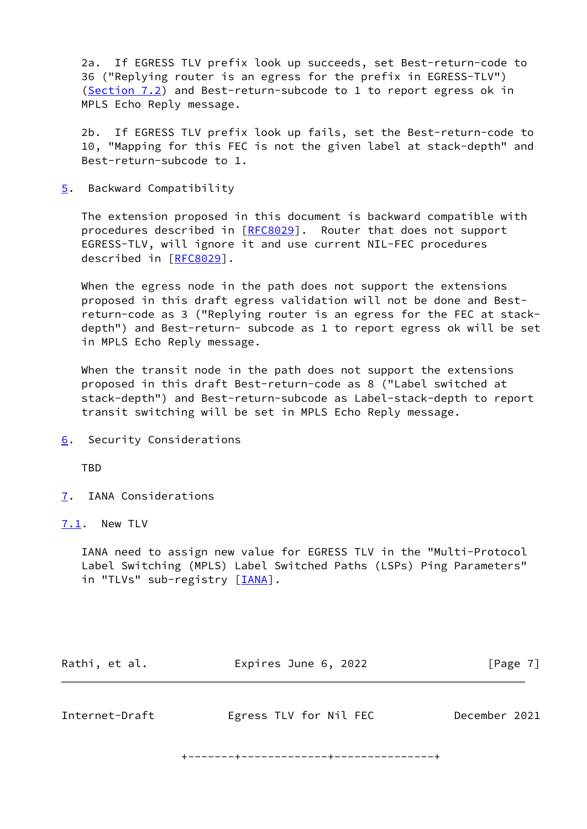2a. If EGRESS TLV prefix look up succeeds, set Best-return-code to 36 ("Replying router is an egress for the prefix in EGRESS-TLV") [\(Section 7.2](#page-8-0)) and Best-return-subcode to 1 to report egress ok in MPLS Echo Reply message.

 2b. If EGRESS TLV prefix look up fails, set the Best-return-code to 10, "Mapping for this FEC is not the given label at stack-depth" and Best-return-subcode to 1.

<span id="page-7-0"></span>[5](#page-7-0). Backward Compatibility

 The extension proposed in this document is backward compatible with procedures described in [\[RFC8029](https://datatracker.ietf.org/doc/pdf/rfc8029)]. Router that does not support EGRESS-TLV, will ignore it and use current NIL-FEC procedures described in [\[RFC8029](https://datatracker.ietf.org/doc/pdf/rfc8029)].

 When the egress node in the path does not support the extensions proposed in this draft egress validation will not be done and Best return-code as 3 ("Replying router is an egress for the FEC at stack depth") and Best-return- subcode as 1 to report egress ok will be set in MPLS Echo Reply message.

 When the transit node in the path does not support the extensions proposed in this draft Best-return-code as 8 ("Label switched at stack-depth") and Best-return-subcode as Label-stack-depth to report transit switching will be set in MPLS Echo Reply message.

<span id="page-7-1"></span>[6](#page-7-1). Security Considerations

**TBD** 

<span id="page-7-2"></span>[7](#page-7-2). IANA Considerations

<span id="page-7-3"></span>[7.1](#page-7-3). New TLV

 IANA need to assign new value for EGRESS TLV in the "Multi-Protocol Label Switching (MPLS) Label Switched Paths (LSPs) Ping Parameters" in "TLVs" sub-registry [*IANA*].

<span id="page-7-4"></span>

| Rathi, et al.  | Expires June 6, 2022   | [Page 7]      |
|----------------|------------------------|---------------|
| Internet-Draft | Egress TLV for Nil FEC | December 2021 |

+-------+-------------+---------------+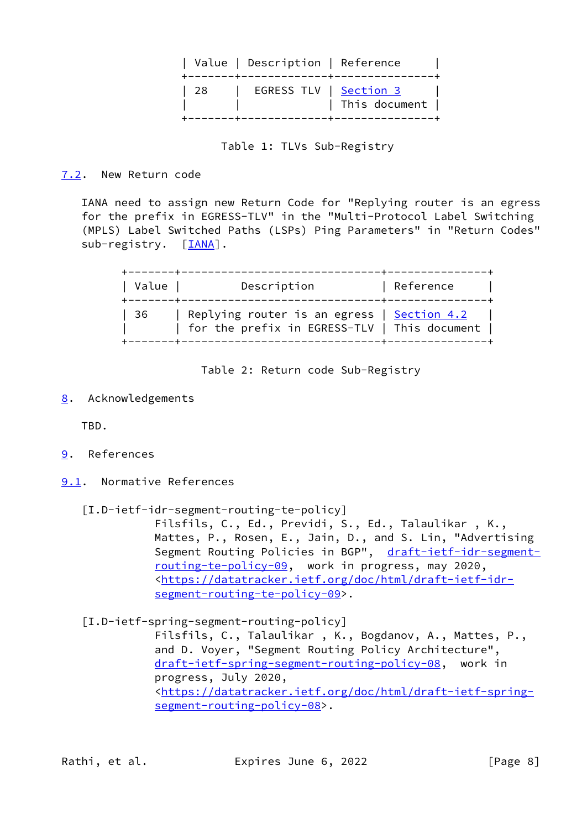| +-------+-------------+-------------<br>  28   EGRESS TLV   <u>Section 3</u> |  | Value   Description   Reference |               |  |
|------------------------------------------------------------------------------|--|---------------------------------|---------------|--|
|                                                                              |  |                                 | This document |  |

Table 1: TLVs Sub-Registry

<span id="page-8-0"></span>[7.2](#page-8-0). New Return code

 IANA need to assign new Return Code for "Replying router is an egress for the prefix in EGRESS-TLV" in the "Multi-Protocol Label Switching (MPLS) Label Switched Paths (LSPs) Ping Parameters" in "Return Codes" sub-registry. [\[IANA](#page-9-2)].

| Value | Description                                                                                       | Reference |
|-------|---------------------------------------------------------------------------------------------------|-----------|
| -36   | Replying router is an egress $\int$ Section 4.2<br>  for the prefix in EGRESS-TLV   This document |           |

Table 2: Return code Sub-Registry

<span id="page-8-1"></span>[8](#page-8-1). Acknowledgements

TBD.

- <span id="page-8-2"></span>[9](#page-8-2). References
- <span id="page-8-3"></span>[9.1](#page-8-3). Normative References
	- [I.D-ietf-idr-segment-routing-te-policy]

 Filsfils, C., Ed., Previdi, S., Ed., Talaulikar , K., Mattes, P., Rosen, E., Jain, D., and S. Lin, "Advertising Segment Routing Policies in BGP", [draft-ietf-idr-segment](https://datatracker.ietf.org/doc/pdf/draft-ietf-idr-segment-routing-te-policy-09) [routing-te-policy-09,](https://datatracker.ietf.org/doc/pdf/draft-ietf-idr-segment-routing-te-policy-09) work in progress, may 2020, <[https://datatracker.ietf.org/doc/html/draft-ietf-idr](https://datatracker.ietf.org/doc/html/draft-ietf-idr-segment-routing-te-policy-09) [segment-routing-te-policy-09>](https://datatracker.ietf.org/doc/html/draft-ietf-idr-segment-routing-te-policy-09).

<span id="page-8-4"></span>[I.D-ietf-spring-segment-routing-policy]

 Filsfils, C., Talaulikar , K., Bogdanov, A., Mattes, P., and D. Voyer, "Segment Routing Policy Architecture", [draft-ietf-spring-segment-routing-policy-08](https://datatracker.ietf.org/doc/pdf/draft-ietf-spring-segment-routing-policy-08), work in progress, July 2020, <[https://datatracker.ietf.org/doc/html/draft-ietf-spring](https://datatracker.ietf.org/doc/html/draft-ietf-spring-segment-routing-policy-08) [segment-routing-policy-08>](https://datatracker.ietf.org/doc/html/draft-ietf-spring-segment-routing-policy-08).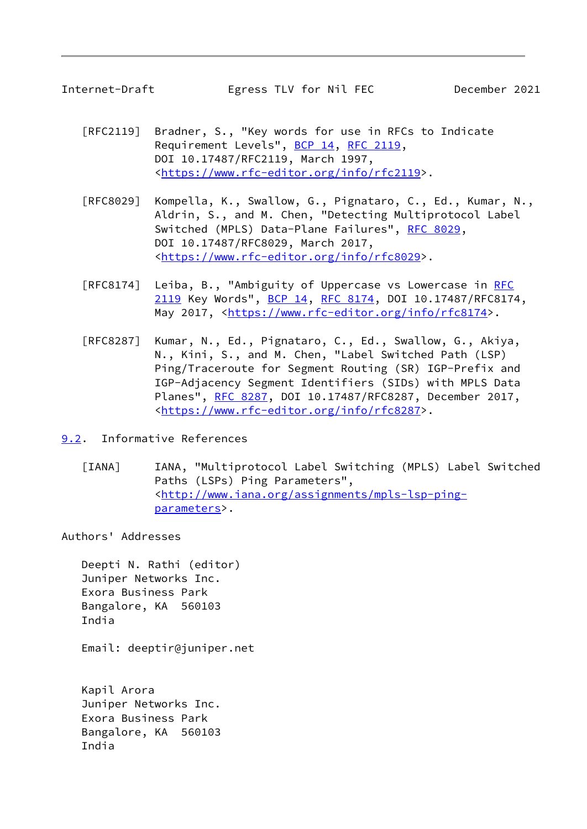<span id="page-9-1"></span>

- [RFC2119] Bradner, S., "Key words for use in RFCs to Indicate Requirement Levels", [BCP 14](https://datatracker.ietf.org/doc/pdf/bcp14), [RFC 2119](https://datatracker.ietf.org/doc/pdf/rfc2119), DOI 10.17487/RFC2119, March 1997, <[https://www.rfc-editor.org/info/rfc2119>](https://www.rfc-editor.org/info/rfc2119).
- [RFC8029] Kompella, K., Swallow, G., Pignataro, C., Ed., Kumar, N., Aldrin, S., and M. Chen, "Detecting Multiprotocol Label Switched (MPLS) Data-Plane Failures", [RFC 8029](https://datatracker.ietf.org/doc/pdf/rfc8029), DOI 10.17487/RFC8029, March 2017, <[https://www.rfc-editor.org/info/rfc8029>](https://www.rfc-editor.org/info/rfc8029).
- [RFC8174] Leiba, B., "Ambiguity of Uppercase vs Lowercase in [RFC](https://datatracker.ietf.org/doc/pdf/rfc2119) [2119](https://datatracker.ietf.org/doc/pdf/rfc2119) Key Words", [BCP 14](https://datatracker.ietf.org/doc/pdf/bcp14), [RFC 8174,](https://datatracker.ietf.org/doc/pdf/rfc8174) DOI 10.17487/RFC8174, May 2017, [<https://www.rfc-editor.org/info/rfc8174](https://www.rfc-editor.org/info/rfc8174)>.
- [RFC8287] Kumar, N., Ed., Pignataro, C., Ed., Swallow, G., Akiya, N., Kini, S., and M. Chen, "Label Switched Path (LSP) Ping/Traceroute for Segment Routing (SR) IGP-Prefix and IGP-Adjacency Segment Identifiers (SIDs) with MPLS Data Planes", [RFC 8287,](https://datatracker.ietf.org/doc/pdf/rfc8287) DOI 10.17487/RFC8287, December 2017, <[https://www.rfc-editor.org/info/rfc8287>](https://www.rfc-editor.org/info/rfc8287).
- <span id="page-9-2"></span><span id="page-9-0"></span>[9.2](#page-9-0). Informative References
	- [IANA] IANA, "Multiprotocol Label Switching (MPLS) Label Switched Paths (LSPs) Ping Parameters", <[http://www.iana.org/assignments/mpls-lsp-ping](http://www.iana.org/assignments/mpls-lsp-ping-parameters) [parameters>](http://www.iana.org/assignments/mpls-lsp-ping-parameters).

Authors' Addresses

 Deepti N. Rathi (editor) Juniper Networks Inc. Exora Business Park Bangalore, KA 560103 India

Email: deeptir@juniper.net

 Kapil Arora Juniper Networks Inc. Exora Business Park Bangalore, KA 560103 India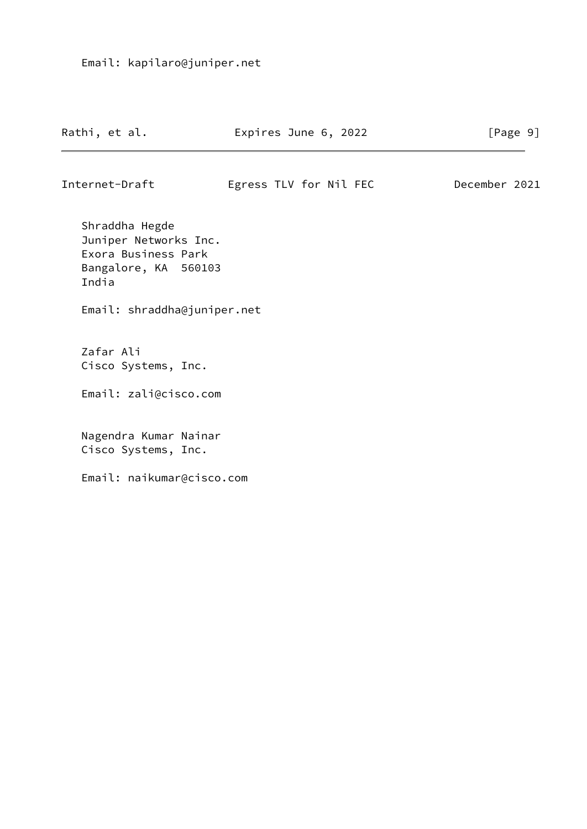| Rathi, et al. | Expires June 6, 2022 |  | [Page 9] |  |
|---------------|----------------------|--|----------|--|
|               |                      |  |          |  |

Internet-Draft Egress TLV for Nil FEC December 2021

 Shraddha Hegde Juniper Networks Inc. Exora Business Park Bangalore, KA 560103 India

Email: shraddha@juniper.net

 Zafar Ali Cisco Systems, Inc.

Email: zali@cisco.com

 Nagendra Kumar Nainar Cisco Systems, Inc.

Email: naikumar@cisco.com